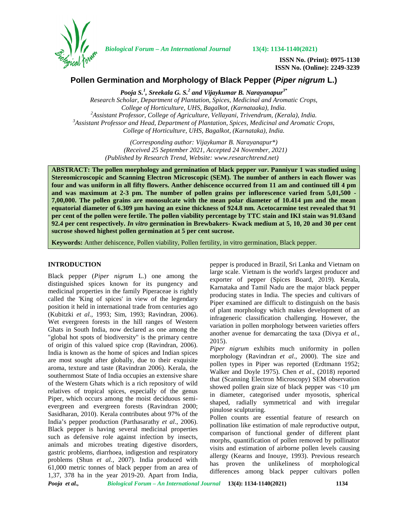

*Biological Forum – An International Journal* **13(4): 1134-1140(2021)**

**ISSN No. (Print): 0975-1130 ISSN No. (Online): 2249-3239**

# **Pollen Germination and Morphology of Black Pepper (***Piper nigrum* **L.)**

*Pooja S.<sup>1</sup> , Sreekala G. S.<sup>2</sup> and Vijaykumar B. Narayanapur3\* Research Scholar, Department of Plantation, Spices, Medicinal and Aromatic Crops,* College of Horticulture, UHS, Bagalkot, (Karnataaka), India.<br><sup>2</sup>Assistant Professor, College of Agriculture, Vellayani, Trivendrum, (Kerala), India.<br><sup>3</sup>Assistant Professor and Head, Department of Plantation, Spices, Medici *College of Horticulture, UHS, Bagalkot, (Karnataka), India.*

> *(Corresponding author: Vijaykumar B. Narayanapur\*) (Received 25 September 2021, Accepted 24 November, 2021) (Published by Research Trend, Website: [www.researchtrend.net\)](www.researchtrend.net)*

**ABSTRACT: The pollen morphology and germination of black pepper** *var***. Panniyur 1 was studied using Stereomicroscopic and Scanning Electron Microscopic (SEM). The number of anthers in each flower was four and was uniform in all fifty flowers. Anther dehiscence occurred from 11 am and continued till 4 pm and was maximum at 2-3 pm. The number of pollen grains per inflorescence varied from 5,01,500 - 7,00,000. The pollen grains are monosulcate with the mean polar diameter of 10.414 µm and the mean equatorial diameter of 6.309 µm having an exine thickness of 924.8 nm. Acetocarmine test revealed that 91 per cent of the pollen were fertile. The pollen viability percentage by TTC stain and IKI stain was 91.03and 92.4 per cent respectively.** *In vitro* **germination in Brewbakers- Kwack medium at 5, 10, 20 and 30 per cent sucrose showed highest pollen germination at 5 per cent sucrose.**

**Keywords:** Anther dehiscence, Pollen viability, Pollen fertility, in vitro germination, Black pepper.

## **INTRODUCTION**

Black pepper (*Piper nigrum* L.) one among the distinguished spices known for its pungency and medicinal properties in the family Piperaceae is rightly called the 'King of spices' in view of the legendary position it held in international trade from centuries ago (Kubitzki *et al*., 1993; Sim, 1993; Ravindran, 2006). Wet evergreen forests in the hill ranges of Western Ghats in South India, now declared as one among the "global hot spots of biodiversity" is the primary centre of origin of this valued spice crop (Ravindran, 2006). India is known as the home of spices and Indian spices are most sought after globally, due to their exquisite aroma, texture and taste (Ravindran 2006). Kerala, the southernmost State of India occupies an extensive share of the Western Ghats which is a rich repository of wild relatives of tropical spices, especially of the genus Piper, which occurs among the moist deciduous semi evergreen and evergreen forests (Ravindran 2000; Sasidharan, 2010). Kerala contributes about 97% of the India's pepper production (Parthasarathy *et al*., 2006). Black pepper is having several medicinal properties such as defensive role against infection by insects, animals and microbes treating digestive disorders, gastric problems, diarrhoea, indigestion and respiratory problems (Shun *et al.*, 2007). India produced with 61,000 metric tonnes of black pepper from an area of 1,37, 378 ha in the year 2019-20. Apart from India,

pepper is produced in Brazil, Sri Lanka and Vietnam on large scale. Vietnam is the world's largest producer and exporter of pepper (Spices Board, 2019). Kerala, Karnataka and Tamil Nadu are the major black pepper producing states in India. The species and cultivars of Piper examined are difficult to distinguish on the basis of plant morphology which makes development of an infrageneric classification challenging. However, the variation in pollen morphology between varieties offers another avenue for demarcating the taxa (Divya *et al.*, 2015).

*Piper nigrum* exhibits much uniformity in pollen morphology (Ravindran *et al*., 2000). The size and pollen types in Piper was reported (Erdtmann 1952; Walker and Doyle 1975). Chen *et al*., (2018) reported that (Scanning Electron Microscopy) SEM observation showed pollen grain size of black pepper was <10 μm in diameter, categorised under myosotis, spherical shaped, radially symmetrical and with irregular pinulose sculpturing.

Pollen counts are essential feature of research on pollination like estimation of male reproductive output, comparison of functional gender of different plant morphs, quantification of pollen removed by pollinator visits and estimation of airborne pollen levels causing allergy (Kearns and Inouye, 1993). Previous research has proven the unlikeliness of morphological differences among black pepper cultivars pollen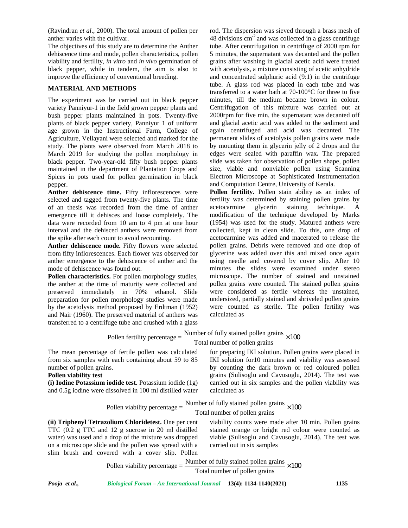(Ravindran *et al*., 2000). The total amount of pollen per anther varies with the cultivar.

The objectives of this study are to determine the Anther dehiscence time and mode, pollen characteristics, pollen viability and fertility, *in vitro* and *in vivo* germination of black pepper, while in tandem, the aim is also to improve the efficiency of conventional breeding.

## **MATERIAL AND METHODS**

The experiment was be carried out in black pepper variety Panniyur-1 in the field grown pepper plants and bush pepper plants maintained in pots. Twenty-five plants of black pepper variety, Panniyur 1 of uniform age grown in the Instructional Farm, College of Agriculture, Vellayani were selected and marked for the study. The plants were observed from March 2018 to March 2019 for studying the pollen morphology in black pepper. Two-year-old fifty bush pepper plants maintained in the department of Plantation Crops and Spices in pots used for pollen germination in black pepper.

**Anther dehiscence time.** Fifty inflorescences were selected and tagged from twenty-five plants. The time of an thesis was recorded from the time of anther emergence till it dehisces and loose completely. The data were recorded from 10 am to 4 pm at one hour interval and the dehisced anthers were removed from the spike after each count to avoid recounting.

rod. The dispersion was sieved through a brass mesh of 48 divisions cm-2 and was collected in a glass centrifuge tube. After centrifugation in centrifuge of 2000 rpm for 5 minutes, the supernatant was decanted and the pollen grains after washing in glacial acetic acid were treated with acetolysis, a mixture consisting of acetic anhydride and concentrated sulphuric acid (9:1) in the centrifuge tube. A glass rod was placed in each tube and was transferred to a water bath at 70-100°C for three to five minutes, till the medium became brown in colour. Centrifugation of this mixture was carried out at 2000rpm for five min, the supernatant was decanted off and glacial acetic acid was added to the sediment and again centrifuged and acid was decanted. The permanent slides of acetolysis pollen grains were made by mounting them in glycerin jelly of 2 drops and the edges were sealed with paraffin wax**.** The prepared slide was taken for observation of pollen shape, pollen size, viable and nonviable pollen using Scanning Electron Microscope at Sophisticated Instrumentation and Computation Centre, University of Kerala.

**Pollen fertility.** Pollen stain ability as an index of fertility was determined by staining pollen grains by glycerin staining technique. A modification of the technique developed by Marks (1954) was used for the study. Matured anthers were collected, kept in clean slide. To this, one drop of acetocarmine was added and macerated to release the pollen grains. Debris were removed and one drop of glycerine was added over this and mixed once again using needle and covered by cover slip. After 10 minutes the slides were examined under stereo microscope. The number of stained and unstained pollen grains were counted. The stained pollen grains were considered as fertile whereas the unstained, undersized, partially stained and shriveled pollen grains were counted as sterile. The pollen fertility was calculated as For pollen germination in black<br>
Electron Microscope at Sophisicated Instrumentation<br>
ime. Fifty inflorescences were<br> **Pollen fertility**. Pollen stain ability as an index of<br>
coron twenty-five plans The time fertility we

| <b>Anther dehiscence mode.</b> Fifty flowers were selected                                                          | pollen grains. Debris were removed and one drop of        |
|---------------------------------------------------------------------------------------------------------------------|-----------------------------------------------------------|
| from fifty inflorescences. Each flower was observed for                                                             | glycerine was added over this and mixed once again        |
| anther emergence to the dehiscence of anther and the                                                                | using needle and covered by cover slip. After 10          |
| mode of dehiscence was found out.                                                                                   | minutes the slides were examined under stereo             |
| Pollen characteristics. For pollen morphology studies,                                                              | microscope. The number of stained and unstained           |
| the anther at the time of maturity were collected and                                                               | pollen grains were counted. The stained pollen grains     |
| preserved immediately in 70% ethanol.<br>Slide                                                                      | were considered as fertile whereas the unstained,         |
| preparation for pollen morphology studies were made                                                                 | undersized, partially stained and shriveled pollen grains |
| by the acetolysis method proposed by Erdtman (1952)                                                                 | were counted as sterile. The pollen fertility was         |
| and Nair (1960). The preserved material of anthers was                                                              | calculated as                                             |
| transferred to a centrifuge tube and crushed with a glass                                                           |                                                           |
| Pollen fertility percentage = $\frac{\text{Number of fully stained pollen grains}}{\text{Total volume}} \times 100$ |                                                           |
|                                                                                                                     | Total number of pollen grains                             |
| The mean percentage of fertile pollen was calculated                                                                | for preparing IKI solution. Pollen grains were placed in  |
| from six samples with each containing about 59 to 85                                                                | IKI solution for10 minutes and viability was assessed     |
| number of pollen grains.                                                                                            | by counting the dark brown or red coloured pollen         |
| <b>Pollen viability test</b>                                                                                        | grains (Sulisoglu and Cavusoglu, 2014). The test was      |
| (i) Iodine Potassium iodide test. Potassium iodide (1g)                                                             | carried out in six samples and the pollen viability was   |
| and 0.5g iodine were dissolved in 100 ml distilled water                                                            | calculated as                                             |
|                                                                                                                     |                                                           |
| Pollen viability percentage = $\frac{\text{Number of fully stained pollen grains}}{\text{Time}} \times 100$         |                                                           |
|                                                                                                                     | Total number of pollen grains                             |
| (ii) Triphenyl Tetrazolium Chloridetest. One per cent                                                               | viability counts were made after 10 min. Pollen grains    |
| TTC (0.2 g TTC and 12 g sucrose in 20 ml distilled                                                                  | stained orange or bright red colour were counted as       |
| water) was used and a drop of the mixture was dropped                                                               | viable (Sulisoglu and Cavusoglu, 2014). The test was      |
| on a microscope slide and the pollen was spread with a                                                              | carried out in six samples                                |
| slim brush and covered with a cover slip. Pollen                                                                    |                                                           |
| Pollen viability percentage = $\frac{\text{Number of fully stained pollen grains}}{\text{Time to 1}} \times 100$    |                                                           |
|                                                                                                                     | Total number of pollen grains                             |
| Pooja et al.,<br>Biological Forum - An International Journal 13(4): 1134-1140(2021)                                 | 1135                                                      |
|                                                                                                                     |                                                           |
|                                                                                                                     |                                                           |
|                                                                                                                     |                                                           |

$$
Pollen viability percentage = \frac{Number of fully stained pollen grains}{Total number of pollen grains} \times 100
$$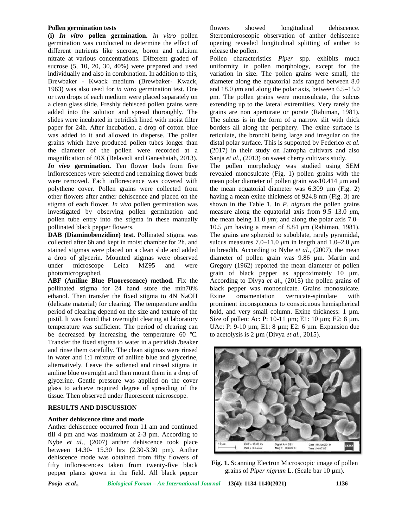#### **Pollen germination tests**

**(i)** *In vitro* **pollen germination.** *In vitro* pollen germination was conducted to determine the effect of different nutrients like sucrose, boron and calcium nitrate at various concentrations. Different graded of sucrose (5, 10, 20, 30, 40%) were prepared and used individually and also in combination. In addition to this, Brewbaker - Kwack medium (Brewbaker- Kwack, 1963) was also used for *in vitro* germination test. One or two drops of each medium were placed separately on a clean glass slide. Freshly dehisced pollen grains were added into the solution and spread thoroughly. The slides were incubated in petridish lined with moist filter paper for 24h. After incubation, a drop of cotton blue was added to it and allowed to disperse. The pollen grains which have produced pollen tubes longer than the diameter of the pollen were recorded at a magnification of 40X (Belavadi and Ganeshaiah, 2013). *In vivo* **germination.** Ten flower buds from five inflorescences were selected and remaining flower buds were removed. Each inflorescence was covered with polythene cover. Pollen grains were collected from other flowers after anther dehiscence and placed on the stigma of each flower. *In vivo* pollen germination was investigated by observing pollen germination and pollen tube entry into the stigma in these manually pollinated black pepper flowers.

**DAB (Diaminobenzidine) test.** Pollinated stigma was collected after 6h and kept in moist chamber for 2h. and stained stigmas were placed on a clean slide and added a drop of glycerin. Mounted stigmas were observed under microscope Leica MZ95 and were photomicrographed.

**ABF (Aniline Blue Fluorescence) method.** Fix the pollinated stigma for 24 hand store the min70% ethanol. Then transfer the fixed stigma to 4N NaOH (delicate material) for clearing. The temperature andthe period of clearing depend on the size and texture of the pistil. It was found that overnight clearing at laboratory temperature was sufficient. The period of clearing can be decreased by increasing the temperature 60 °C.<br>Transfer the fixed stigma to water in a petridish /beaker and rinse them carefully. The clean stigmas were rinsed in water and 1:1 mixture of aniline blue and glycerine, alternatively. Leave the softened and rinsed stigma in aniline blue overnight and then mount them in a drop of glycerine. Gentle pressure was applied on the cover glass to achieve required degree of spreading of the tissue. Then observed under fluorescent microscope.

### **RESULTS AND DISCUSSION**

### **Anther dehiscence time and mode**

Anther dehiscence occurred from 11 am and continued till 4 pm and was maximum at 2-3 pm. According to Nybe *et al*., (2007) anther dehiscence took place between 14.30- 15.30 hrs (2.30-3.30 pm). Anther dehiscence mode was obtained from fifty flowers of fifty inflorescences taken from twenty-five black pepper plants grown in the field. All black pepper

flowers showed longitudinal dehiscence. Stereomicroscopic observation of anther dehiscence opening revealed longitudinal splitting of anther to release the pollen.

Pollen characteristics *Piper* spp. exhibits much uniformity in pollen morphology, except for the variation in size. The pollen grains were small, the diameter along the equatorial axis ranged between 8.0 and 18.0  $\mu$ m and along the polar axis, between 6.5–15.0 *μ*m. The pollen grains were monosulcate, the sulcus extending up to the lateral extremities. Very rarely the grains are non aperturate or porate (Rahiman, 1981). The sulcus is in the form of a narrow slit with thick borders all along the periphery. The exine surface is reticulate, the bronchi being large and irregular on the distal polar surface. This is supported by Federico *et al*. (2017) in their study on Jatropha cultivars and also Sanja *et al.*, (2013) on sweet cherry cultivars study.

The pollen morphology was studied using SEM revealed monosulcate (Fig. 1) pollen grains with the mean polar diameter of pollen grain was10.414 µm and the mean equatorial diameter was  $6.309 \mu m$  (Fig. 2) having a mean exine thickness of 924.8 nm (Fig. 3) are shown in the Table 1. In *P. nigrum* the pollen grains measure along the equatorial axis from 9.5–13.0 *μ*m, the mean being 11.0  $\mu$ m; and along the polar axis 7.0– 10.5 *μ*m having a mean of 8.84 *μ*m (Rahiman, 1981). The grains are spheroid to suboblate, rarely pyramidal, sulcus measures 7.0–11.0 *μ*m in length and 1.0–2.0 *μ*m in breadth. According to Nybe *et al.,* (2007), the mean diameter of pollen grain was 9.86 µm. Martin and Gregory (1962) reported the mean diameter of pollen grain of black pepper as approximately 10 μm. According to Divya *et al*., (2015) the pollen grains of black pepper was monosulcate. Grains monosulcate. ornamentation verrucate-spinulate with prominent inconspicuous to conspicuous hemispherical hold, and very small column. Exine thickness: 1  $\mu$ m. Size of pollen: Ac: P: 10-11 µm; E1: 10 µm; E2: 8 µm. UAc: P: 9-10 µm; E1: 8 µm; E2: 6 µm. Expansion due to acetolysis is 2 µm (Divya *et al.,* 2015).



**Fig. 1.** Scanning Electron Microscopic image of pollen grains of *Piper nigrum* L. (Scale bar 10 µm).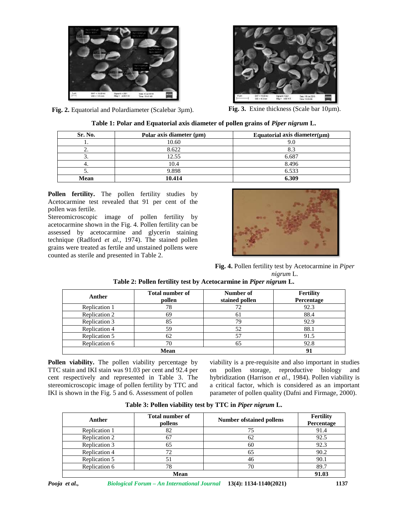



**Fig. 2.** Equatorial and Polardiameter (Scalebar 3µm). **Fig. 3.** Exine thickness (Scale bar 10µm).

| Sr. No. | Polar axis diameter $(\mu m)$ | Equatorial axis diameter $(\mu m)$ |
|---------|-------------------------------|------------------------------------|
|         | 10.60                         | 9.0                                |
|         | 8.622                         | 8.3                                |
|         | 12.55                         | 6.687                              |
|         | 10.4                          | 8.496                              |
|         | 9.898                         | 6.533                              |
| Mean    | 10.414                        | 6.309                              |

**Pollen fertility.** The pollen fertility studies by Acetocarmine test revealed that 91 per cent of the pollen was fertile.

Stereomicroscopic image of pollen fertility by acetocarmine shown in the Fig. 4. Pollen fertility can be assessed by acetocarmine and glycerin staining technique (Radford *et al.,* 1974). The stained pollen grains were treated as fertile and unstained pollens were counted as sterile and presented in Table 2.



**Fig. 4.** Pollen fertility test by Acetocarmine in *Piper nigrum* L.

| Anther        | Total number of<br>pollen | Number of<br>stained pollen | <b>Fertility</b><br>Percentage |
|---------------|---------------------------|-----------------------------|--------------------------------|
| Replication 1 | 78                        | 72                          | 92.3                           |
| Replication 2 | 69                        | 61                          | 88.4                           |
| Replication 3 | 85                        | 79                          | 92.9                           |
| Replication 4 | 59                        | 52                          | 88.1                           |
| Replication 5 | 62                        | 57                          | 91.5                           |
| Replication 6 | 70                        | 65                          | 92.8                           |
|               | <b>Mean</b>               |                             |                                |

**Table 2: Pollen fertility test by Acetocarmine in** *Piper nigrum* **L.**

**Pollen viability.** The pollen viability percentage by TTC stain and IKI stain was 91.03 per cent and 92.4 per cent respectively and represented in Table 3. The stereomicroscopic image of pollen fertility by TTC and IKI is shown in the Fig. 5 and 6. Assessment of pollen

viability is a pre-requisite and also important in studies pollen storage, reproductive biology and hybridization (Harrison *et al*., 1984). Pollen viability is a critical factor, which is considered as an important parameter of pollen quality (Dafni and Firmage, 2000).

**Table 3: Pollen viability test by TTC in** *Piper nigrum* **L.**

| Anther        | <b>Total number of</b><br>pollens | <b>Number of stained pollens</b> | Fertility<br>Percentage |
|---------------|-----------------------------------|----------------------------------|-------------------------|
| Replication 1 | 82                                | 75                               | 91.4                    |
| Replication 2 | 67                                | 62                               | 92.5                    |
| Replication 3 | 65                                | 60                               | 92.3                    |
| Replication 4 | 72                                | 65                               | 90.2                    |
| Replication 5 |                                   | 46                               | 90.1                    |
| Replication 6 | 78                                | 70                               | 89.7                    |
| <b>Mean</b>   |                                   |                                  | 91.03                   |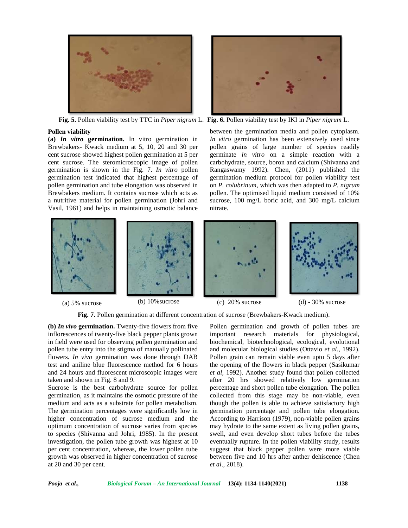



**Fig. 5.** Pollen viability test by TTC in *Piper nigrum* L. **Fig. 6.** Pollen viability test by IKI in *Piper nigrum* L.

#### **Pollen viability**

**(a)** *In vitro* **germination.** In vitro germination in Brewbakers- Kwack medium at 5, 10, 20 and 30 per cent sucrose showed highest pollen germination at 5 per cent sucrose. The steromicroscopic image of pollen germination is shown in the Fig. 7. *In vitro* pollen germination test indicated that highest percentage of pollen germination and tube elongation was observed in Brewbakers medium. It contains sucrose which acts as a nutritive material for pollen germination (Johri and Vasil, 1961) and helps in maintaining osmotic balance

between the germination media and pollen cytoplasm. *In vitro* germination has been extensively used since pollen grains of large number of species readily germinate *in vitro* on a simple reaction with a carbohydrate, source, boron and calcium (Shivanna and Rangaswamy 1992). Chen, (2011) published the germination medium protocol for pollen viability test on *P. colubrinum*, which was then adapted to *P. nigrum* pollen. The optimised liquid medium consisted of 10% sucrose, 100 mg/L boric acid, and 300 mg/L calcium nitrate.



(a)  $5\%$  sucrose (b)  $10\%$  sucrose (c)  $20\%$  sucrose (d) -  $30\%$  sucrose

**Fig. 7.** Pollen germination at different concentration of sucrose (Brewbakers-Kwack medium).

**(b)** *In vivo* **germination.** Twenty-five flowers from five inflorescences of twenty-five black pepper plants grown in field were used for observing pollen germination and pollen tube entry into the stigma of manually pollinated flowers. *In vivo* germination was done through DAB test and aniline blue fluorescence method for 6 hours and 24 hours and fluorescent microscopic images were taken and shown in Fig. 8 and 9.

Sucrose is the best carbohydrate source for pollen germination, as it maintains the osmotic pressure of the medium and acts as a substrate for pollen metabolism. The germination percentages were significantly low in higher concentration of sucrose medium and the optimum concentration of sucrose varies from species to species (Shivanna and Johri, 1985). In the present investigation, the pollen tube growth was highest at 10 per cent concentration, whereas, the lower pollen tube growth was observed in higher concentration of sucrose at 20 and 30 per cent.

Pollen germination and growth of pollen tubes are important research materials for physiological, biochemical, biotechnological, ecological, evolutional and molecular biological studies (Ottavio *et al*., 1992). Pollen grain can remain viable even upto 5 days after the opening of the flowers in black pepper (Sasikumar *et al,* 1992). Another study found that pollen collected after 20 hrs showed relatively low germination percentage and short pollen tube elongation. The pollen collected from this stage may be non-viable, even though the pollen is able to achieve satisfactory high germination percentage and pollen tube elongation. According to Harrison (1979), non-viable pollen grains may hydrate to the same extent as living pollen grains, swell, and even develop short tubes before the tubes eventually rupture. In the pollen viability study, results suggest that black pepper pollen were more viable between five and 10 hrs after anther dehiscence (Chen *et al*., 2018).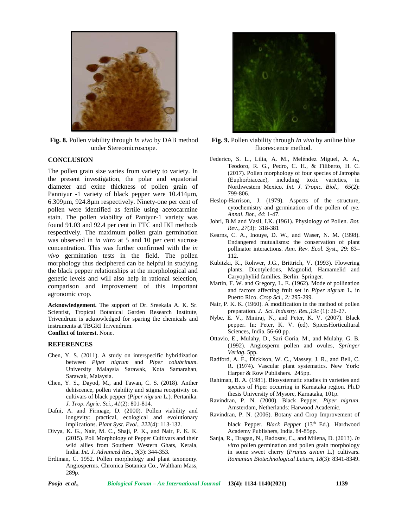

**Fig. 8.** Pollen viability through *In vivo* by DAB method under Stereomicroscope.

#### **CONCLUSION**

The pollen grain size varies from variety to variety. In the present investigation, the polar and equatorial diameter and exine thickness of pollen grain of Panniyur -1 variety of black pepper were  $10.414 \mu m$ , 6.309µm, 924.8µm respectively. Ninety-one per cent of pollen were identified as fertile using acetocarmine stain. The pollen viability of Paniyur-1 variety was found 91.03 and 92.4 per cent in TTC and IKI methods respectively. The maximum pollen grain germination was observed in *in vitro* at 5 and 10 per cent sucrose concentration. This was further confirmed with the *in vivo* germination tests in the field. The pollen morphology thus deciphered can be helpful in studying the black pepper relationships at the morphological and genetic levels and will also help in rational selection, comparison and improvement of this important agronomic crop.

**Acknowledgement.** The support of Dr. Sreekala A. K. Sr. Scientist, Tropical Botanical Garden Research Institute, Trivendrum is acknowledged for sparing the chemicals and instruments at TBGRI Trivendrum.

**Conflict of Interest.** None.

#### **REFERENCES**

- Chen, Y. S. (2011). A study on interspecific hybridization between *Piper nigrum* and *Piper colubrinum*. University Malaysia Sarawak, Kota Samarahan, Sarawak, Malaysia.
- Chen, Y. S., Dayod, M., and Tawan, C. S. (2018). Anther dehiscence, pollen viability and stigma receptivity on cultivars of black pepper (*Piper nigrum* L.). Pertanika. *J. Trop. Agric. Sci*., *41*(2): 801-814.
- Dafni, A. and Firmage, D. (2000). Pollen viability and longevity: practical, ecological and evolutionary implications. *Plant Syst. Evol., 222*(4): 113-132.
- Divya, K. G., Nair, M. C., Shaji, P. K., and Nair, P. K. K. (2015). Poll Morphology of Pepper Cultivars and their wild allies from Southern Western Ghats, Kerala, India. *Int. J. Advanced Res*., *3*(3): 344-353.
- Erdtman, C. 1952. Pollen morphology and plant taxonomy. Angiosperms. Chronica Botanica Co., Waltham Mass, 289p.



- **Fig. 9.** Pollen viability through *In vivo* by aniline blue fluorescence method.
- Federico, S. L., Lilia, A. M., Meléndez Miguel, A. A., Teodoro, R. G., Pedro, C. H., & Filiberto, H. C. (2017). Pollen morphology of four species of Jatropha (Euphorbiaceae), including toxic varieties, in Northwestern Mexico. *Int. J. Tropic. Biol*., *65*(2): 799-806.
- Heslop-Harrison, J. (1979). Aspects of the structure, cytochemistry and germination of the pollen of rye. *Annal. Bot., 44*: 1-47.
- Johri, B.M and Vasil, I.K. (1961). Physiology of Pollen. *Bot. Rev., 27*(3): 318-381
- Kearns, C. A., Inouye, D. W., and Waser, N. M. (1998). Endangered mutualisms: the conservation of plant pollinator interactions. *Ann. Rev. Ecol. Syst*., *29*: 83– 112.
- Kubitzki, K., Rohwer, J.G., Brittrich, V. (1993). Flowering plants. Dicotyledons, Magnolid, Hamamelid and Caryophyliid families. Berlin: Springer.
- Martin, F. W. and Gregory, L. E. (1962). Mode of pollination and factors affecting fruit set in *Piper nigrum* L. in Puerto Rico. *Crop Sci., 2:* 295-299.
- Nair, P. K. K. (1960). A modification in the method of pollen preparation. *J. Sci. Industry. Res.,19c* (1): 26-27.
- Nybe, E. V., Miniraj, N., and Peter, K. V. (2007). Black pepper. In: Peter, K. V. (ed). SpicesHorticultural Sciences, India. 56-60 pp.
- Ottavio, E., Mulahy, D., Sari Goria, M., and Mulahy, G. B. (1992). Angiosperm pollen and ovules, *Springer Verlag*. 5pp.
- Radford, A. E., Dickison, W. C., Massey, J. R., and Bell, C. R. (1974). Vascular plant systematics. New York: Harper & Row Publishers. 245pp.
- Rahiman, B. A. (1981). Biosystematic studies in varieties and species of Piper occurring in Karnataka region. Ph.D thesis University of Mysore, Karnataka, 101p.
- Ravindran, P. N. (2000). Black Pepper, *Piper nigrum*. Amsterdam, Netherlands: Harwood Academic.
- Ravindran, P. N. (2006). Botany and Crop Improvement of
	- black Pepper. Black Pepper (13<sup>th</sup> Ed.). Hardwood Academy Publishers, India. 84-85pp.
- Sanja, R., Dragan, N., Radosav, C., and Milena, D. (2013). *In vitro* pollen germination and pollen grain morphology in some sweet cherry (*Prunus avium* L.) cultivars. *Romanian Biotechnological Letters, 18*(3): 8341-8349.